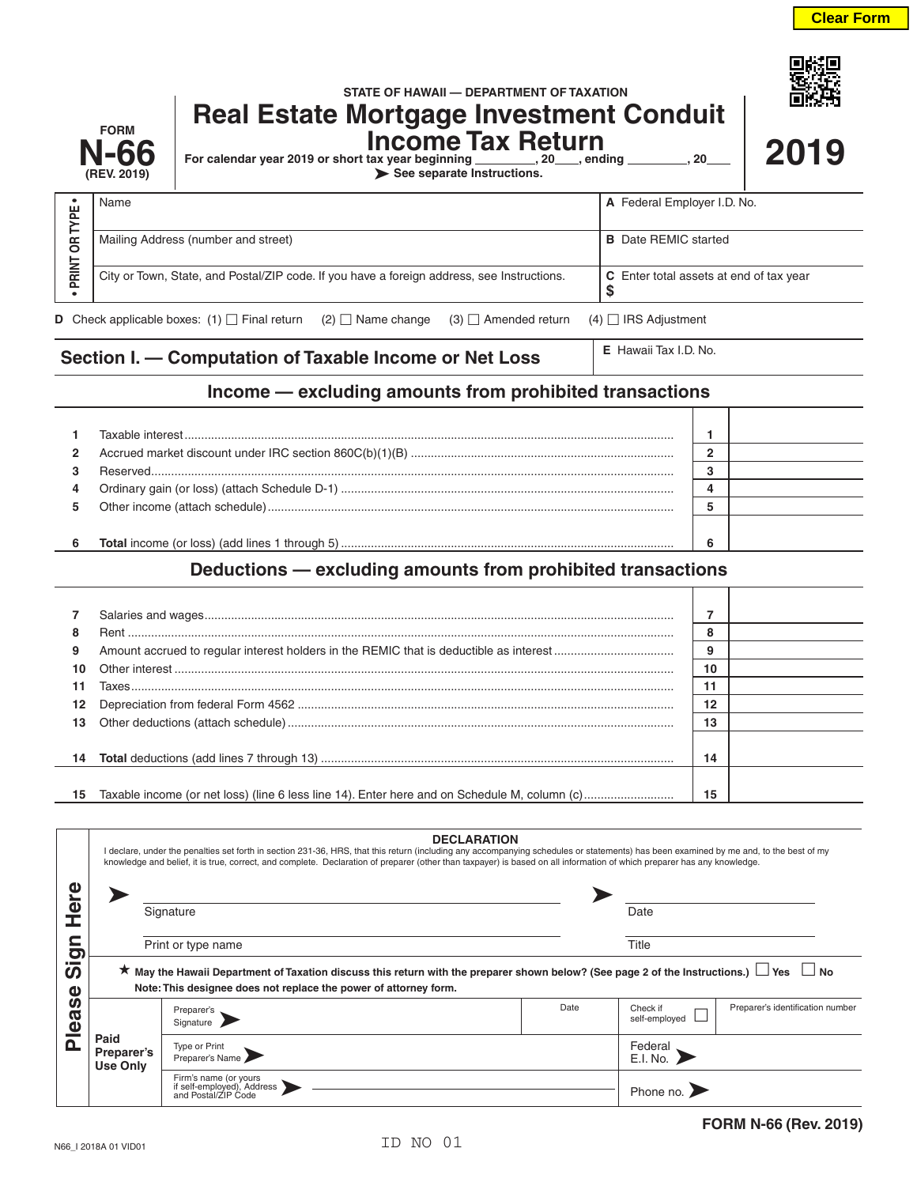回録の

|                                                                                                                                          | <b>FORM</b><br><b>N-66</b><br>(REV. 2019)                                                  | STATE OF HAWAII - DEPARTMENT OF TAXATION<br><b>Real Estate Mortgage Investment Conduit</b><br><b>Income Tax Return</b><br>For calendar year 2019 or short tax year beginning _________, 20____, ending _________, 20___<br>See separate Instructions. |                             | 2019                        |  |  |  |
|------------------------------------------------------------------------------------------------------------------------------------------|--------------------------------------------------------------------------------------------|-------------------------------------------------------------------------------------------------------------------------------------------------------------------------------------------------------------------------------------------------------|-----------------------------|-----------------------------|--|--|--|
| ORTYPE.                                                                                                                                  | Name                                                                                       |                                                                                                                                                                                                                                                       |                             | A Federal Employer I.D. No. |  |  |  |
|                                                                                                                                          |                                                                                            | Mailing Address (number and street)                                                                                                                                                                                                                   | <b>B</b> Date REMIC started |                             |  |  |  |
| PRINT                                                                                                                                    | City or Town, State, and Postal/ZIP code. If you have a foreign address, see Instructions. | C Enter total assets at end of tax year<br>S                                                                                                                                                                                                          |                             |                             |  |  |  |
| <b>D</b> Check applicable boxes: (1) $\Box$ Final return (2) $\Box$ Name change (3) $\Box$ Amended return<br>$(4)$ $\Box$ IRS Adjustment |                                                                                            |                                                                                                                                                                                                                                                       |                             |                             |  |  |  |
| E Hawaii Tax I.D. No.<br>Section I. - Computation of Taxable Income or Net Loss                                                          |                                                                                            |                                                                                                                                                                                                                                                       |                             |                             |  |  |  |
| Income — excluding amounts from prohibited transactions                                                                                  |                                                                                            |                                                                                                                                                                                                                                                       |                             |                             |  |  |  |
|                                                                                                                                          |                                                                                            |                                                                                                                                                                                                                                                       | 1                           |                             |  |  |  |
| 2                                                                                                                                        |                                                                                            | 2                                                                                                                                                                                                                                                     |                             |                             |  |  |  |
| з<br>4                                                                                                                                   | Reserved                                                                                   |                                                                                                                                                                                                                                                       | 3<br>4                      |                             |  |  |  |

**6 Total** income (or loss) (add lines 1 through 5) .................................................................................................... **6**

## **Deductions — excluding amounts from prohibited transactions**

**5** Other income (attach schedule).......................................................................................................................... **5**

| $\overline{7}$ |    |  |
|----------------|----|--|
| 8              |    |  |
| 9              |    |  |
| 10             | 10 |  |
| 11             |    |  |
|                |    |  |
|                | 13 |  |
|                |    |  |
|                | 14 |  |
|                |    |  |
| 15             | 15 |  |

|                                                                                        | <b>DECLARATION</b><br>I declare, under the penalties set forth in section 231-36, HRS, that this return (including any accompanying schedules or statements) has been examined by me and, to the best of my<br>knowledge and belief, it is true, correct, and complete. Declaration of preparer (other than taxpayer) is based on all information of which preparer has any knowledge. |                                                                            |      |                           |                                  |  |  |
|----------------------------------------------------------------------------------------|----------------------------------------------------------------------------------------------------------------------------------------------------------------------------------------------------------------------------------------------------------------------------------------------------------------------------------------------------------------------------------------|----------------------------------------------------------------------------|------|---------------------------|----------------------------------|--|--|
| ω<br>Φ<br>$\overline{O}$<br>$\overline{\phantom{a}}$<br>ທ<br>Φ<br>ທ<br>œ<br><b>Ple</b> | Signature                                                                                                                                                                                                                                                                                                                                                                              |                                                                            |      | Date                      |                                  |  |  |
|                                                                                        | Print or type name                                                                                                                                                                                                                                                                                                                                                                     |                                                                            |      | Title                     |                                  |  |  |
|                                                                                        | ★ May the Hawaii Department of Taxation discuss this return with the preparer shown below? (See page 2 of the Instructions.) $\Box$ Yes $\Box$ No<br>Note: This designee does not replace the power of attorney form.                                                                                                                                                                  |                                                                            |      |                           |                                  |  |  |
|                                                                                        | Paid<br>Preparer's<br><b>Use Only</b>                                                                                                                                                                                                                                                                                                                                                  | Preparer's<br>Signature                                                    | Date | Check if<br>self-employed | Preparer's identification number |  |  |
|                                                                                        |                                                                                                                                                                                                                                                                                                                                                                                        | Type or Print<br>Preparer's Name                                           |      | Federal<br>E.I. No.       |                                  |  |  |
|                                                                                        |                                                                                                                                                                                                                                                                                                                                                                                        | Firm's name (or yours<br>if self-employed), Address<br>and Postal/ZIP Code |      | Phone no.                 |                                  |  |  |